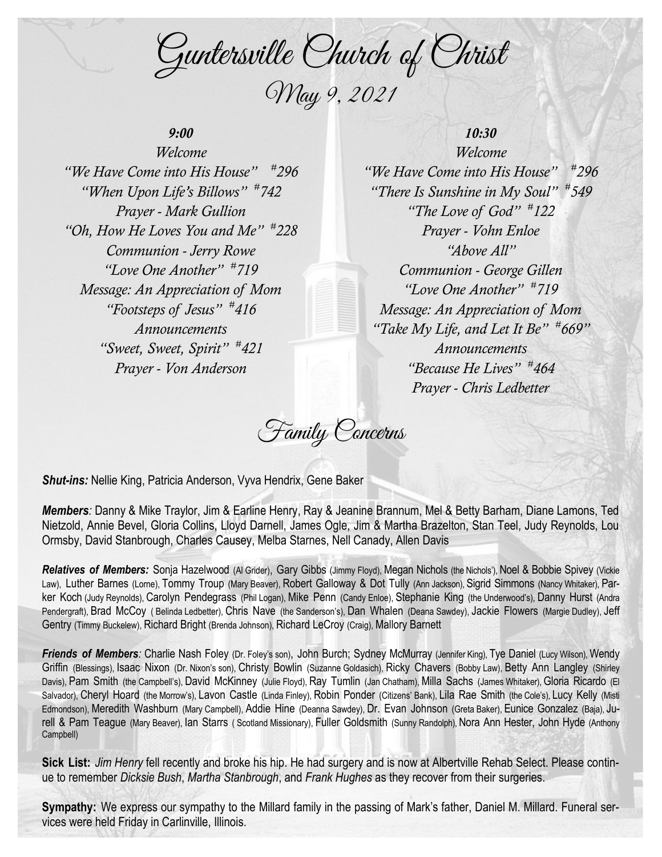Guntersville Church of Christ May 9, 2021

## *9:00*

*Welcome "We Have Come into His House" # 296 "When Upon Life's Billows" # 742 Prayer - Mark Gullion "Oh, How He Loves You and Me" # 228 Communion - Jerry Rowe "Love One Another" # 719 Message: An Appreciation of Mom "Footsteps of Jesus" # 416 Announcements "Sweet, Sweet, Spirit" # 421 Prayer - Von Anderson*

## *10:30*

*Welcome "We Have Come into His House" # 296 "There Is Sunshine in My Soul" # 549 "The Love of God" # 122 Prayer - Vohn Enloe "Above All" Communion - George Gillen "Love One Another" # 719 Message: An Appreciation of Mom "Take My Life, and Let It Be" # 669" Announcements "Because He Lives" # 464 Prayer - Chris Ledbetter*

Family Concerns

*Shut-ins:* Nellie King, Patricia Anderson, Vyva Hendrix, Gene Baker

*Members:* Danny & Mike Traylor, Jim & Earline Henry, Ray & Jeanine Brannum, Mel & Betty Barham, Diane Lamons, Ted Nietzold, Annie Bevel, Gloria Collins, Lloyd Darnell, James Ogle, Jim & Martha Brazelton, Stan Teel, Judy Reynolds, Lou Ormsby, David Stanbrough, Charles Causey, Melba Starnes, Nell Canady, Allen Davis

*Relatives of Members:* Sonja Hazelwood (Al Grider), Gary Gibbs (Jimmy Floyd), Megan Nichols (the Nichols'), Noel & Bobbie Spivey (Vickie Law), Luther Barnes (Lorne), Tommy Troup (Mary Beaver), Robert Galloway & Dot Tully (Ann Jackson), Sigrid Simmons (Nancy Whitaker), Parker Koch (Judy Reynolds), Carolyn Pendegrass (Phil Logan), Mike Penn (Candy Enloe), Stephanie King (the Underwood's), Danny Hurst (Andra Pendergraft), Brad McCoy ( Belinda Ledbetter), Chris Nave (the Sanderson's), Dan Whalen (Deana Sawdey), Jackie Flowers (Margie Dudley), Jeff Gentry (Timmy Buckelew), Richard Bright (Brenda Johnson), Richard LeCroy (Craig), Mallory Barnett

*Friends of Members:* Charlie Nash Foley (Dr. Foley's son), John Burch; Sydney McMurray (Jennifer King), Tye Daniel (Lucy Wilson), Wendy Griffin (Blessings), Isaac Nixon (Dr. Nixon's son), Christy Bowlin (Suzanne Goldasich), Ricky Chavers (Bobby Law), Betty Ann Langley (Shirley Davis), Pam Smith (the Campbell's), David McKinney (Julie Floyd), Ray Tumlin (Jan Chatham), Milla Sachs (James Whitaker), Gloria Ricardo (El Salvador), Cheryl Hoard (the Morrow's), Lavon Castle (Linda Finley), Robin Ponder (Citizens' Bank), Lila Rae Smith (the Cole's), Lucy Kelly (Misti Edmondson), Meredith Washburn (Mary Campbell), Addie Hine (Deanna Sawdey), Dr. Evan Johnson (Greta Baker), Eunice Gonzalez (Baja), Jurell & Pam Teague (Mary Beaver), Ian Starrs ( Scotland Missionary), Fuller Goldsmith (Sunny Randolph), Nora Ann Hester, John Hyde (Anthony Campbell)

**Sick List:** *Jim Henry* fell recently and broke his hip. He had surgery and is now at Albertville Rehab Select. Please continue to remember *Dicksie Bush*, *Martha Stanbrough*, and *Frank Hughes* as they recover from their surgeries.

**Sympathy:** We express our sympathy to the Millard family in the passing of Mark's father, Daniel M. Millard. Funeral services were held Friday in Carlinville, Illinois.